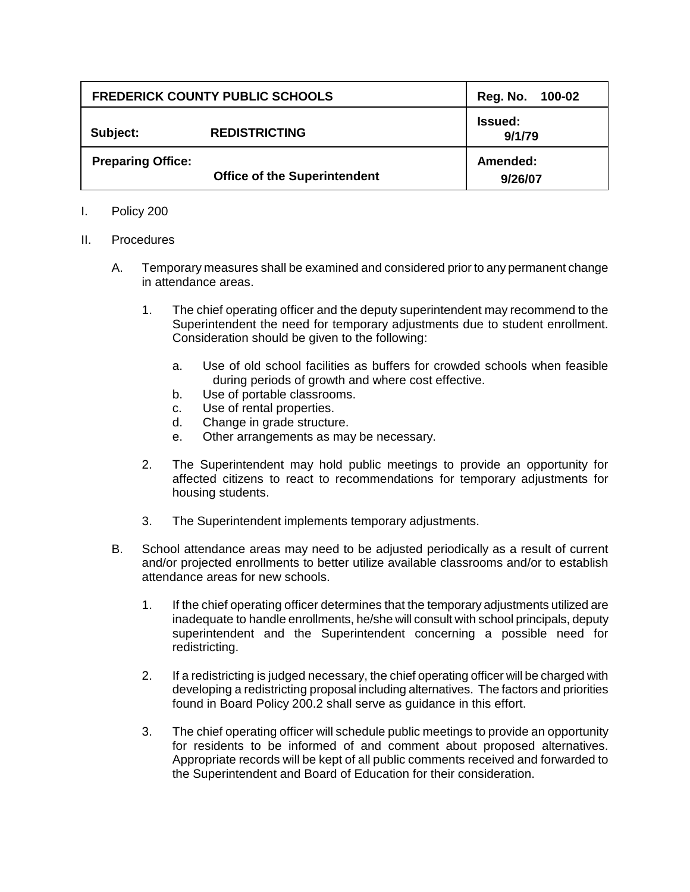| <b>FREDERICK COUNTY PUBLIC SCHOOLS</b> |                                     | Reg. No. 100-02          |
|----------------------------------------|-------------------------------------|--------------------------|
| Subject:                               | <b>REDISTRICTING</b>                | <b>Issued:</b><br>9/1/79 |
| <b>Preparing Office:</b>               | <b>Office of the Superintendent</b> | Amended:<br>9/26/07      |

## I. Policy 200

## II. Procedures

- A. Temporary measures shall be examined and considered prior to any permanent change in attendance areas.
	- 1. The chief operating officer and the deputy superintendent may recommend to the Superintendent the need for temporary adjustments due to student enrollment. Consideration should be given to the following:
		- a. Use of old school facilities as buffers for crowded schools when feasible during periods of growth and where cost effective.
		- b. Use of portable classrooms.
		- c. Use of rental properties.
		- d. Change in grade structure.
		- e. Other arrangements as may be necessary.
	- 2. The Superintendent may hold public meetings to provide an opportunity for affected citizens to react to recommendations for temporary adjustments for housing students.
	- 3. The Superintendent implements temporary adjustments.
- B. School attendance areas may need to be adjusted periodically as a result of current and/or projected enrollments to better utilize available classrooms and/or to establish attendance areas for new schools.
	- 1. If the chief operating officer determines that the temporary adjustments utilized are inadequate to handle enrollments, he/she will consult with school principals, deputy superintendent and the Superintendent concerning a possible need for redistricting.
	- 2. If a redistricting is judged necessary, the chief operating officer will be charged with developing a redistricting proposal including alternatives. The factors and priorities found in Board Policy 200.2 shall serve as guidance in this effort.
	- 3. The chief operating officer will schedule public meetings to provide an opportunity for residents to be informed of and comment about proposed alternatives. Appropriate records will be kept of all public comments received and forwarded to the Superintendent and Board of Education for their consideration.